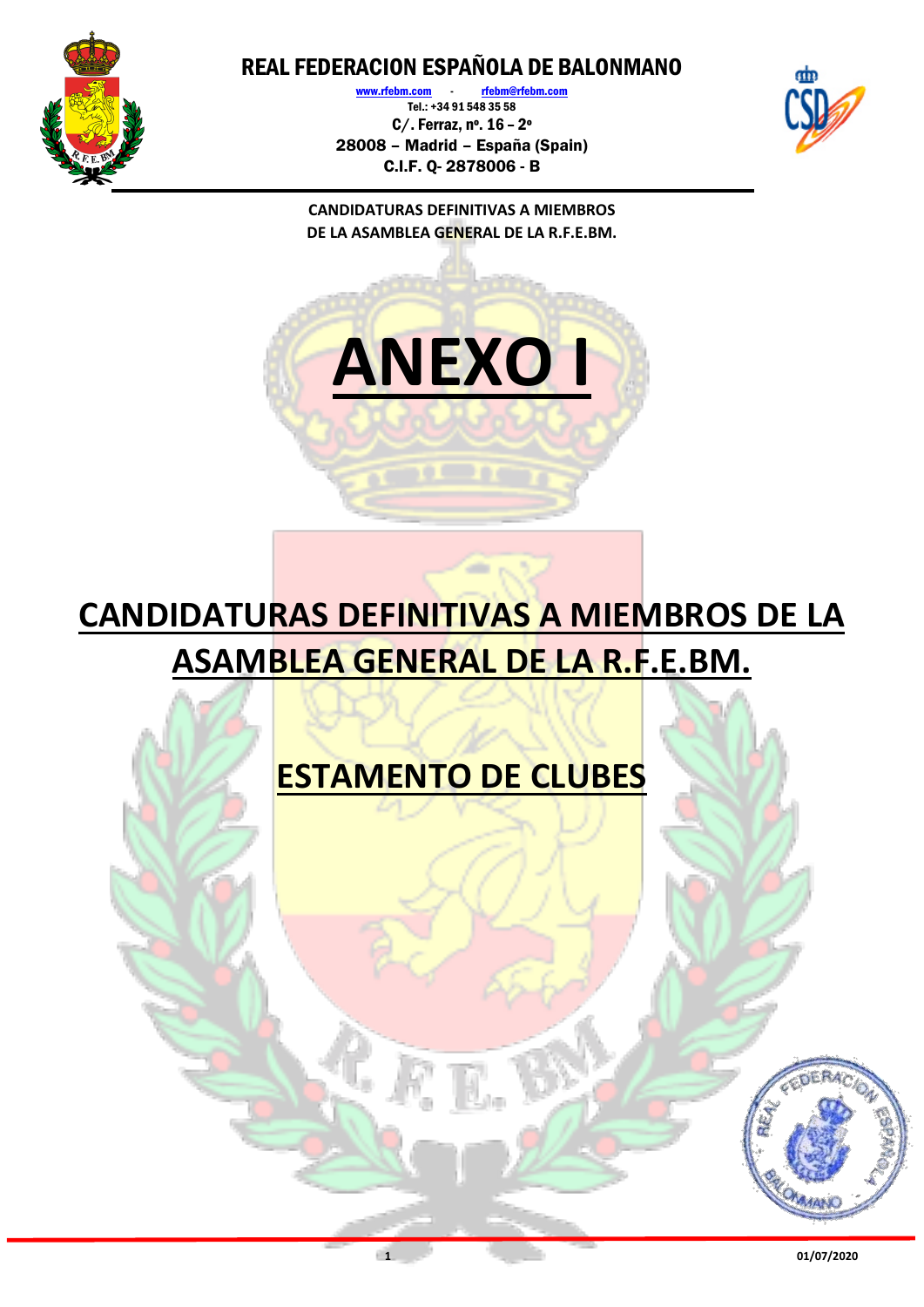

[www.rfebm.com](http://www.rfebm.com/) [rfebm@rfebm.com](mailto:rfebm@rfebm.com) Tel.: +34 91 548 35 58 C/. Ferraz, nº. 16 – 2º 28008 – Madrid – España (Spain) C.I.F. Q- 2878006 - B



**CANDIDATURAS DEFINITIVAS A MIEMBROS DE LA ASAMBLEA GENERAL DE LA R.F.E.BM.**



## **CANDIDATURAS DEFINITIVAS A MIEMBROS DE LA ASAMBLEA GENERAL DE LA R.F.E.BM.**

### **ESTAMENTO DE CLUBES**

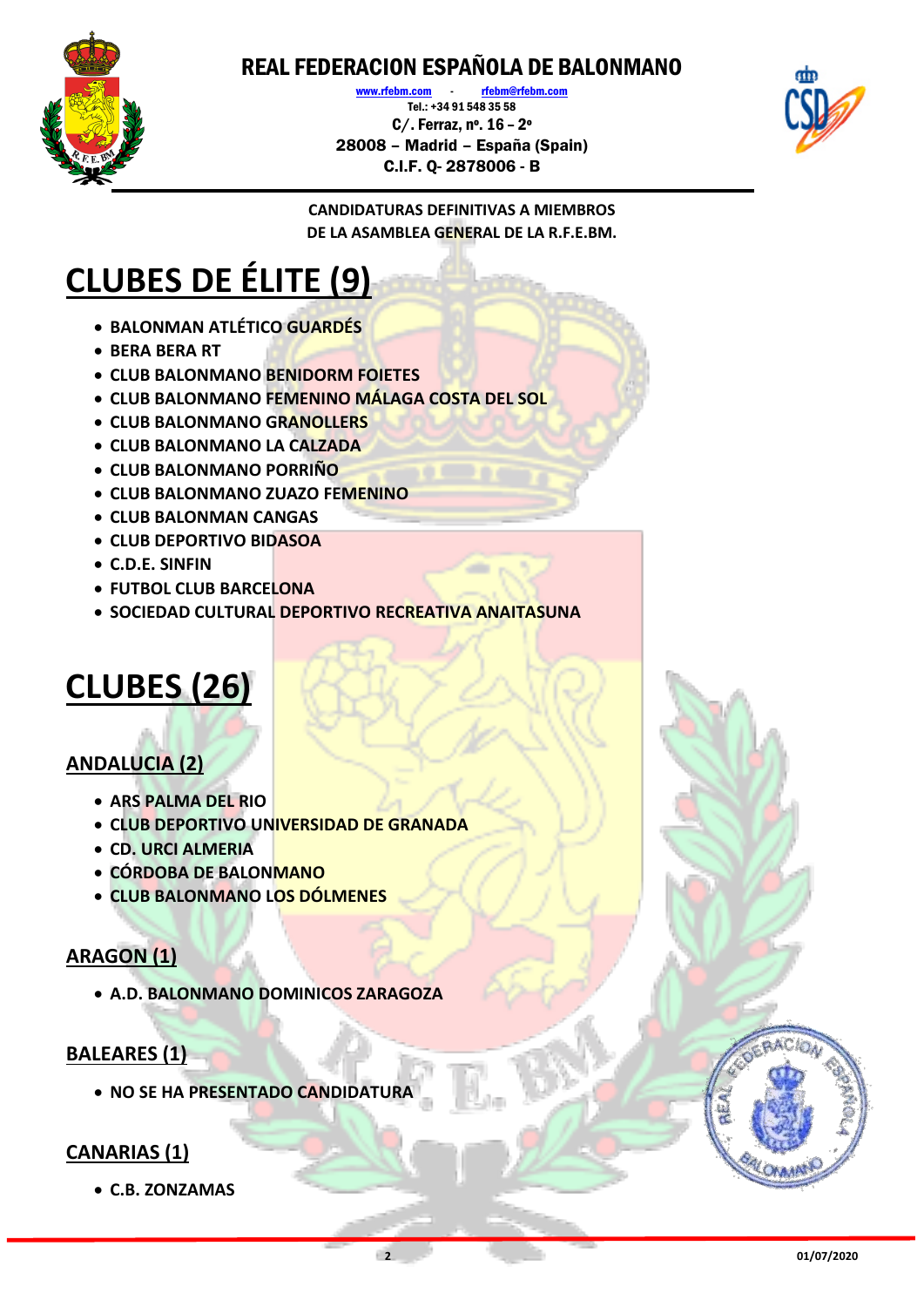

www.rfebm.com Tel.: +34 91 548 35 58 C/. Ferraz, nº. 16 – 2º 28008 – Madrid – España (Spain) C.I.F. Q- 2878006 - B



**CANDIDATURAS DEFINITIVAS A MIEMBROS DE LA ASAMBLEA GENERAL DE LA R.F.E.BM.**

# **CLUBES DE ÉLITE (9)**

- **BALONMAN ATLÉTICO GUARDÉS**
- **BERA BERA RT**
- **CLUB BALONMANO BENIDORM FOIETES**
- **CLUB BALONMANO FEMENINO MÁLAGA COSTA DEL SOL**
- **CLUB BALONMANO GRANOLLERS**
- **CLUB BALONMANO LA CALZADA**
- **CLUB BALONMANO PORRIÑO**
- **CLUB BALONMANO ZUAZO FEMENINO**
- **CLUB BALONMAN CANGAS**
- **CLUB DEPORTIVO BIDASOA**
- **C.D.E. SINFIN**
- **FUTBOL CLUB BARCELONA**
- **SOCIEDAD CULTURAL DEPORTIVO RECREATIVA ANAITASUNA**

### **CLUBES (26)**

#### **ANDALUCIA (2)**

- **ARS PALMA DEL RIO**
- **CLUB DEPORTIVO UNIVERSIDAD DE GRANADA**
- **CD. URCI ALMERIA**
- **CÓRDOBA DE BALONMANO**
- **CLUB BALONMANO LOS DÓLMENES**

#### **ARAGON (1)**

**A.D. BALONMANO DOMINICOS ZARAGOZA**

#### **BALEARES (1)**

**NO SE HA PRESENTADO CANDIDATURA**

#### **CANARIAS (1)**

**C.B. ZONZAMAS**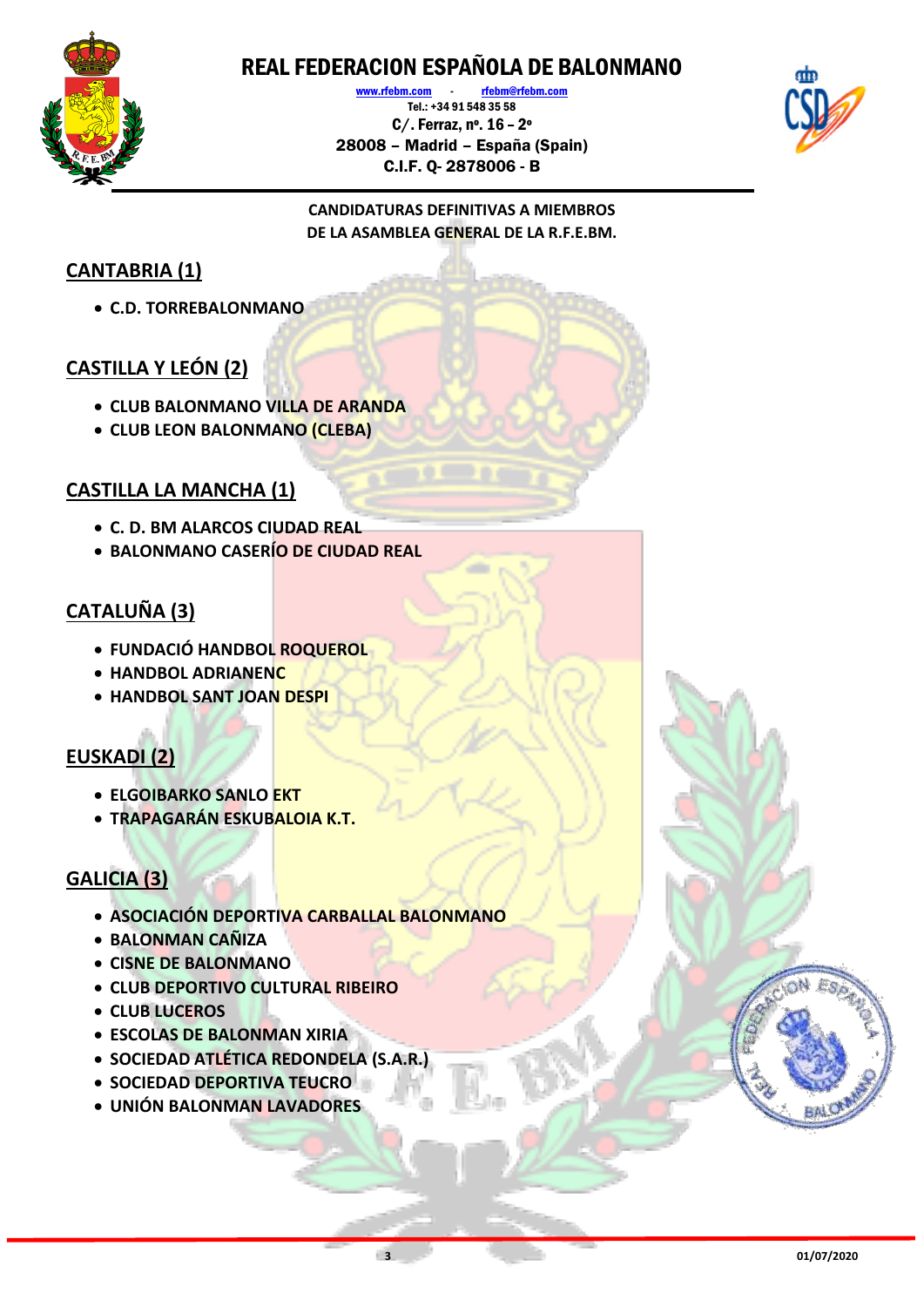

[www.rfebm.com](http://www.rfebm.com/) - [rfebm@rfebm.com](mailto:rfebm@rfebm.com) Tel.: +34 91 548 35 58 C/. Ferraz, nº. 16 – 2º 28008 – Madrid – España (Spain) C.I.F. Q- 2878006 - B



**CANDIDATURAS DEFINITIVAS A MIEMBROS DE LA ASAMBLEA GENERAL DE LA R.F.E.BM.**

#### **CANTABRIA (1)**

**C.D. TORREBALONMANO**

#### **CASTILLA Y LEÓN (2)**

- **CLUB BALONMANO VILLA DE ARANDA**
- **CLUB LEON BALONMANO (CLEBA)**

#### **CASTILLA LA MANCHA (1)**

- **C. D. BM ALARCOS CIUDAD REAL**
- **BALONMANO CASERÍO DE CIUDAD REAL**

#### **CATALUÑA (3)**

- **FUNDACIÓ HANDBOL ROQUEROL**
- **HANDBOL ADRIANENC**
- **HANDBOL SANT JOAN DESPI**

#### **EUSKADI (2)**

- **ELGOIBARKO SANLO EKT**
- **TRAPAGARÁN ESKUBALOIA K.T.**

#### **GALICIA (3)**

- **ASOCIACIÓN DEPORTIVA CARBALLAL BALONMANO**
- **BALONMAN CAÑIZA**
- **CISNE DE BALONMANO**
- **CLUB DEPORTIVO CULTURAL RIBEIRO**
- **CLUB LUCEROS**
- **ESCOLAS DE BALONMAN XIRIA**
- **SOCIEDAD ATLÉTICA REDONDELA (S.A.R.)**
- **SOCIEDAD DEPORTIVA TEUCRO**
- **UNIÓN BALONMAN LAVADORES**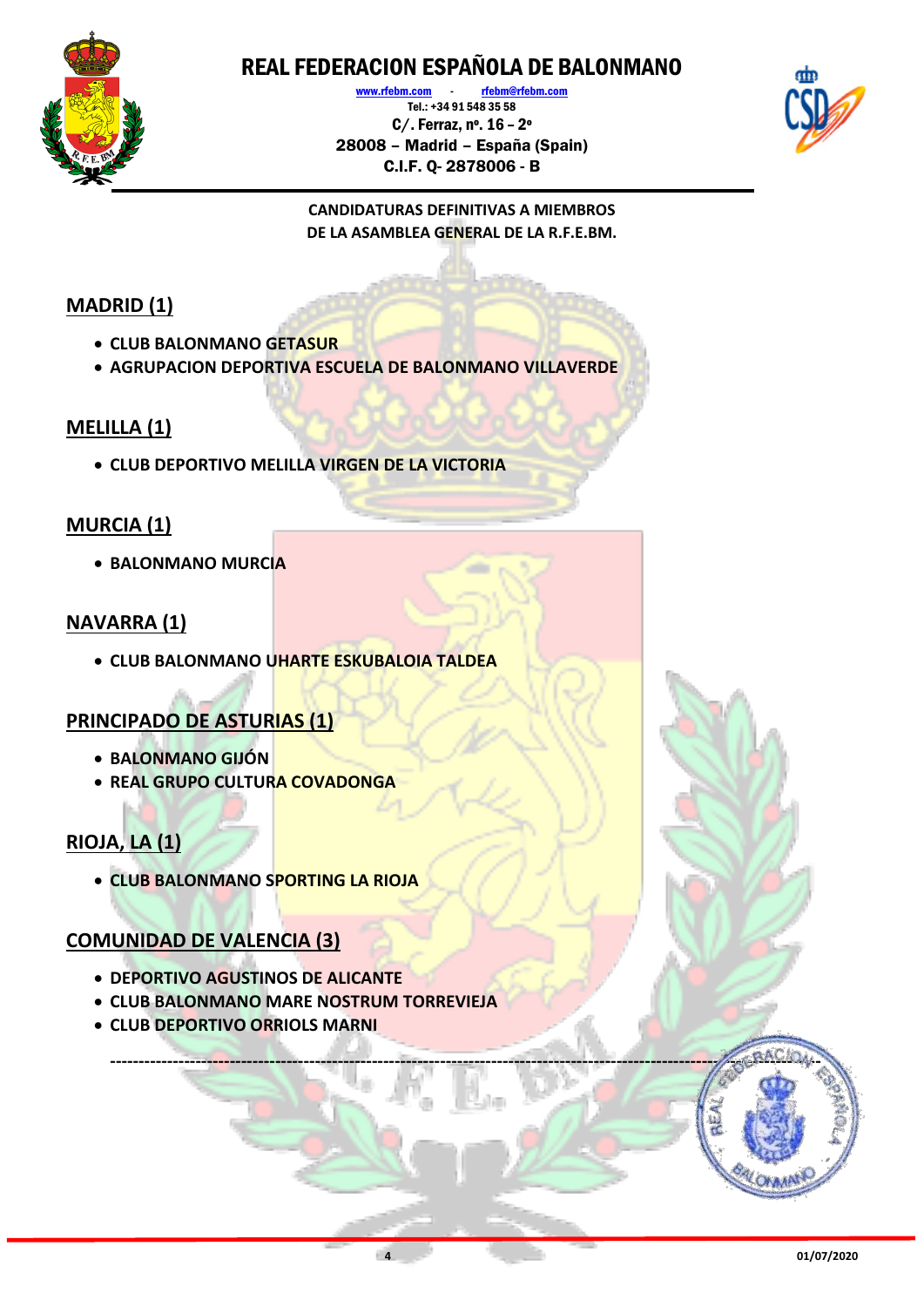

[www.rfebm.com](http://www.rfebm.com/) - [rfebm@rfebm.com](mailto:rfebm@rfebm.com) Tel.: +34 91 548 35 58 C/. Ferraz, nº. 16 – 2º 28008 – Madrid – España (Spain) C.I.F. Q- 2878006 - B



**CANDIDATURAS DEFINITIVAS A MIEMBROS DE LA ASAMBLEA GENERAL DE LA R.F.E.BM.**

#### **MADRID (1)**

- **CLUB BALONMANO GETASUR**
- **AGRUPACION DEPORTIVA ESCUELA DE BALONMANO VILLAVERDE**

#### **MELILLA (1)**

**CLUB DEPORTIVO MELILLA VIRGEN DE LA VICTORIA**

#### **MURCIA (1)**

**BALONMANO MURCIA**

#### **NAVARRA (1)**

**CLUB BALONMANO UHARTE ESKUBALOIA TALDEA**

#### **PRINCIPADO DE ASTURIAS (1)**

- **BALONMANO GIJÓN**
- **REAL GRUPO CULTURA COVADONGA**

#### **RIOJA, LA (1)**

**CLUB BALONMANO SPORTING LA RIOJA**

#### **COMUNIDAD DE VALENCIA (3)**

- **DEPORTIVO AGUSTINOS DE ALICANTE**
- **CLUB BALONMANO MARE NOSTRUM TORREVIEJA**
- **CLUB DEPORTIVO ORRIOLS MARNI**

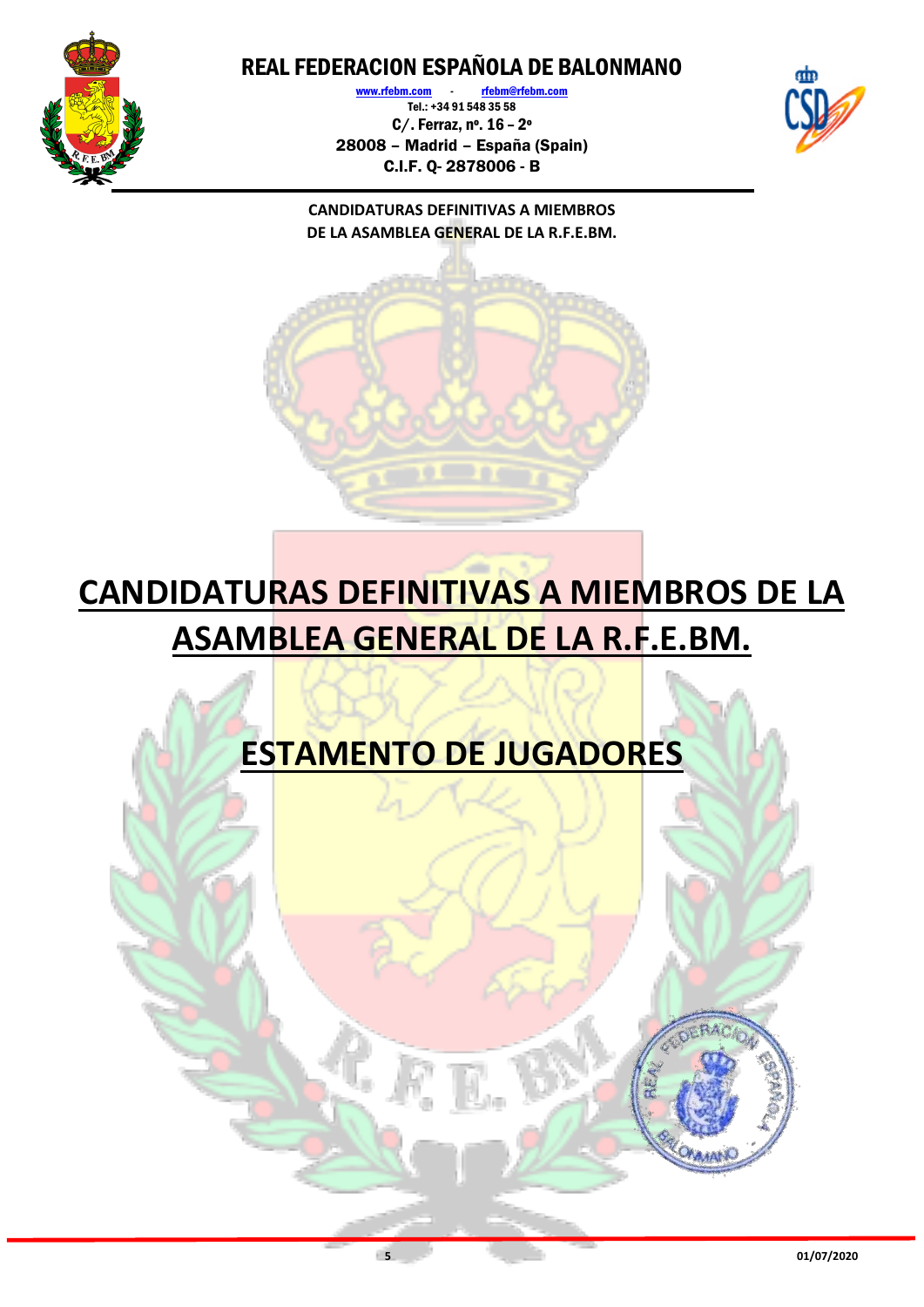

[www.rfebm.com](http://www.rfebm.com/) [rfebm@rfebm.com](mailto:rfebm@rfebm.com) Tel.: +34 91 548 35 58 C/. Ferraz, nº. 16 – 2º 28008 – Madrid – España (Spain) C.I.F. Q- 2878006 - B



**CANDIDATURAS DEFINITIVAS A MIEMBROS DE LA ASAMBLEA GENERAL DE LA R.F.E.BM.**

# **CANDIDATURAS DEFINITIVAS A MIEMBROS DE LA ASAMBLEA GENERAL DE LA R.F.E.BM.**

## **ESTAMENTO DE JUGADORES**

ONMAN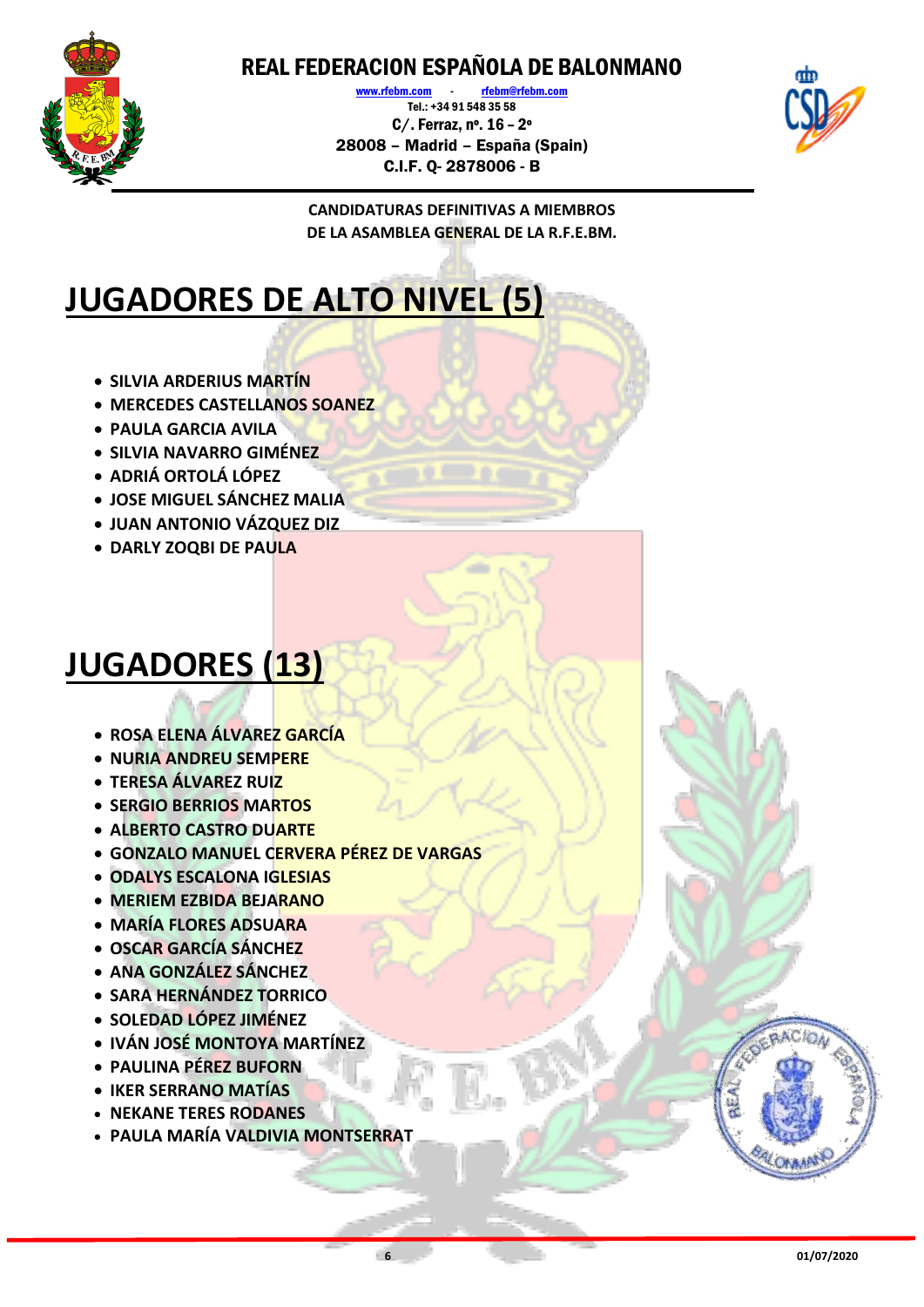

[www.rfebm.com](http://www.rfebm.com/) - [rfebm@rfebm.com](mailto:rfebm@rfebm.com) Tel.: +34 91 548 35 58 C/. Ferraz, nº. 16 – 2º 28008 – Madrid – España (Spain) C.I.F. Q- 2878006 - B



**CANDIDATURAS DEFINITIVAS A MIEMBROS DE LA ASAMBLEA GENERAL DE LA R.F.E.BM.**

### **JUGADORES DE ALTO NIVEL (5)**

- **SILVIA ARDERIUS MARTÍN**
- **MERCEDES CASTELLANOS SOANEZ**
- **PAULA GARCIA AVILA**
- **SILVIA NAVARRO GIMÉNEZ**
- **ADRIÁ ORTOLÁ LÓPEZ**
- **JOSE MIGUEL SÁNCHEZ MALIA**
- **JUAN ANTONIO VÁZQUEZ DIZ**
- **DARLY ZOQBI DE PAULA**

### **JUGADORES (13)**

- **ROSA ELENA ÁLVAREZ GARCÍA**
- **NURIA ANDREU SEMPERE**
- **TERESA ÁLVAREZ RUIZ**
- **SERGIO BERRIOS MARTOS**
- **ALBERTO CASTRO DUARTE**
- **GONZALO MANUEL CERVERA PÉREZ DE VARGAS**
- **ODALYS ESCALONA IGLESIAS**
- **MERIEM EZBIDA BEJARANO**
- **MARÍA FLORES ADSUARA**
- **OSCAR GARCÍA SÁNCHEZ**
- **ANA GONZÁLEZ SÁNCHEZ**
- **SARA HERNÁNDEZ TORRICO**
- **SOLEDAD LÓPEZ JIMÉNEZ**
- **IVÁN JOSÉ MONTOYA MARTÍNEZ**
- **PAULINA PÉREZ BUFORN**
- **IKER SERRANO MATÍAS**
- **NEKANE TERES RODANES**
- **PAULA MARÍA VALDIVIA MONTSERRAT**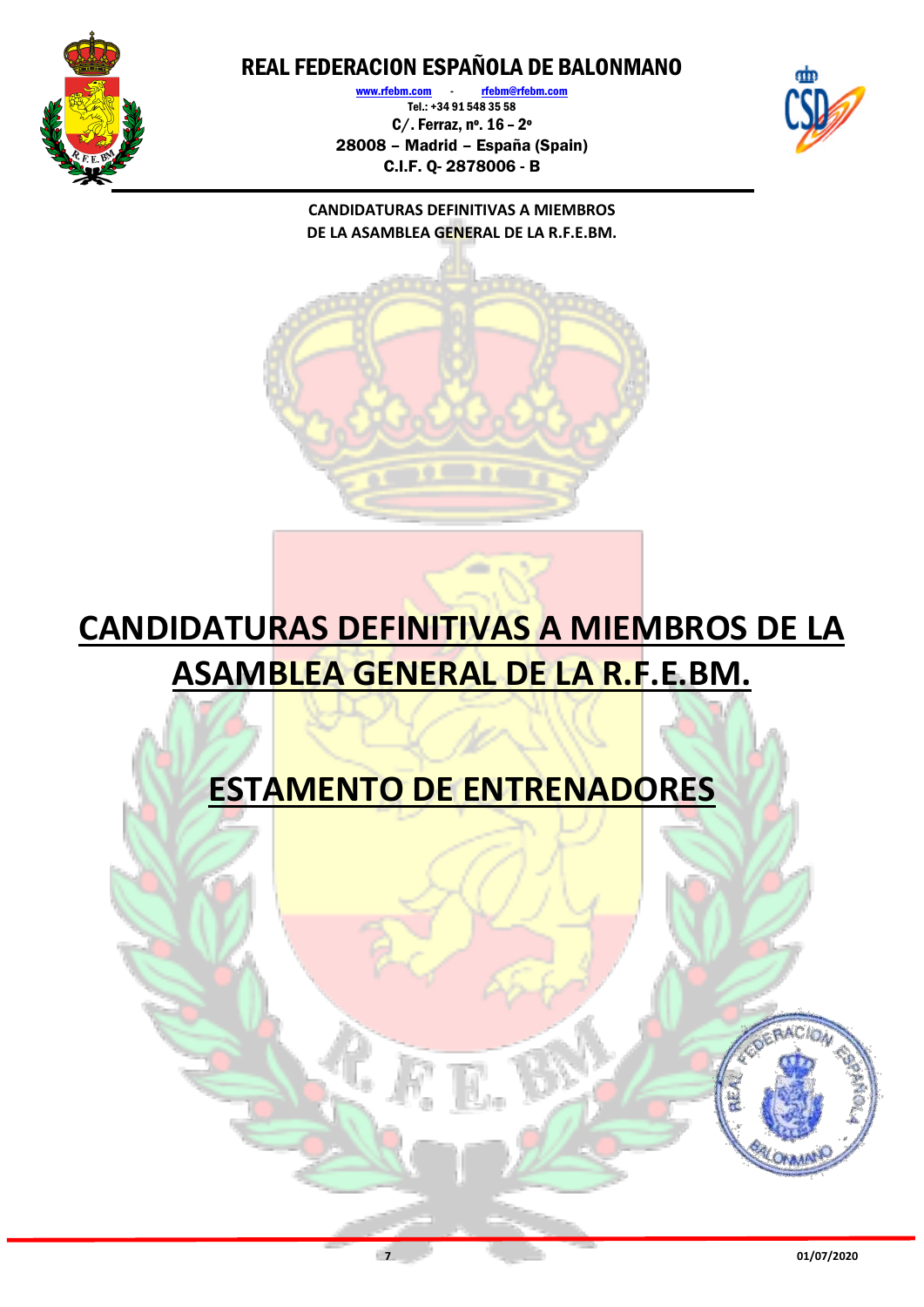

[www.rfebm.com](http://www.rfebm.com/) - [rfebm@rfebm.com](mailto:rfebm@rfebm.com) Tel.: +34 91 548 35 58 C/. Ferraz, nº. 16 – 2º 28008 – Madrid – España (Spain) C.I.F. Q- 2878006 - B



**CANDIDATURAS DEFINITIVAS A MIEMBROS DE LA ASAMBLEA GENERAL DE LA R.F.E.BM.**

## **CANDIDATURAS DEFINITIVAS A MIEMBROS DE LA ASAMBLEA GENERAL DE LA R.F.E.BM.**

### **ESTAMENTO DE ENTRENADORES**

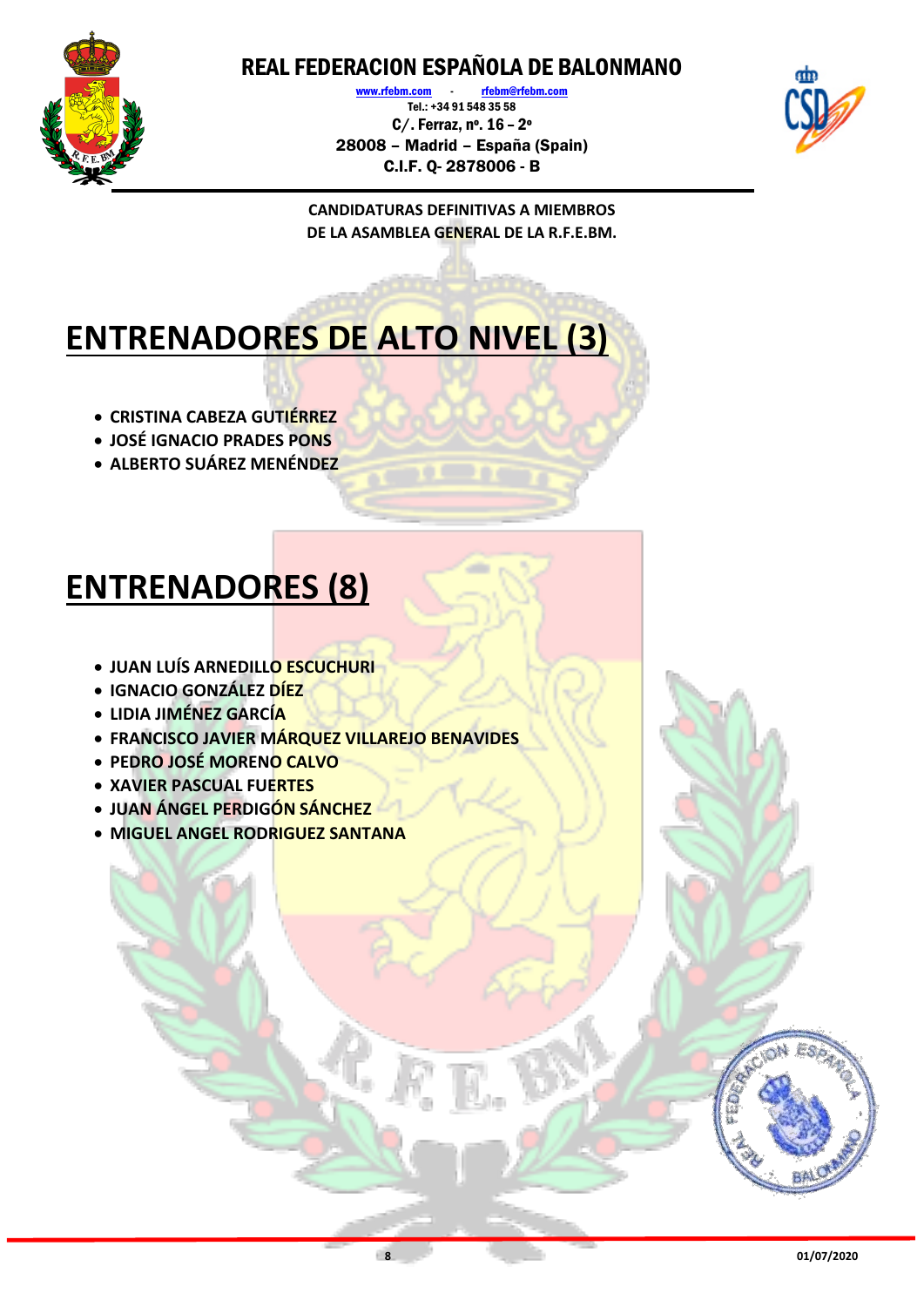

[www.rfebm.com](http://www.rfebm.com/) [rfebm@rfebm.com](mailto:rfebm@rfebm.com) Tel.: +34 91 548 35 58 C/. Ferraz, nº. 16 – 2º 28008 – Madrid – España (Spain) C.I.F. Q- 2878006 - B



**CANDIDATURAS DEFINITIVAS A MIEMBROS DE LA ASAMBLEA GENERAL DE LA R.F.E.BM.**

## **ENTRENADORES DE ALTO NIVEL (3)**

- **CRISTINA CABEZA GUTIÉRREZ**
- **JOSÉ IGNACIO PRADES PONS**
- **ALBERTO SUÁREZ MENÉNDEZ**

### **ENTRENADORES (8)**

- **JUAN LUÍS ARNEDILLO ESCUCHURI**
- **IGNACIO GONZÁLEZ DÍEZ**
- **LIDIA JIMÉNEZ GARCÍA**
- **FRANCISCO JAVIER MÁRQUEZ VILLAREJO BENAVIDES**
- **PEDRO JOSÉ MORENO CALVO**
- **XAVIER PASCUAL FUERTES**
- **JUAN ÁNGEL PERDIGÓN SÁNCHEZ**
- **MIGUEL ANGEL RODRIGUEZ SANTANA**

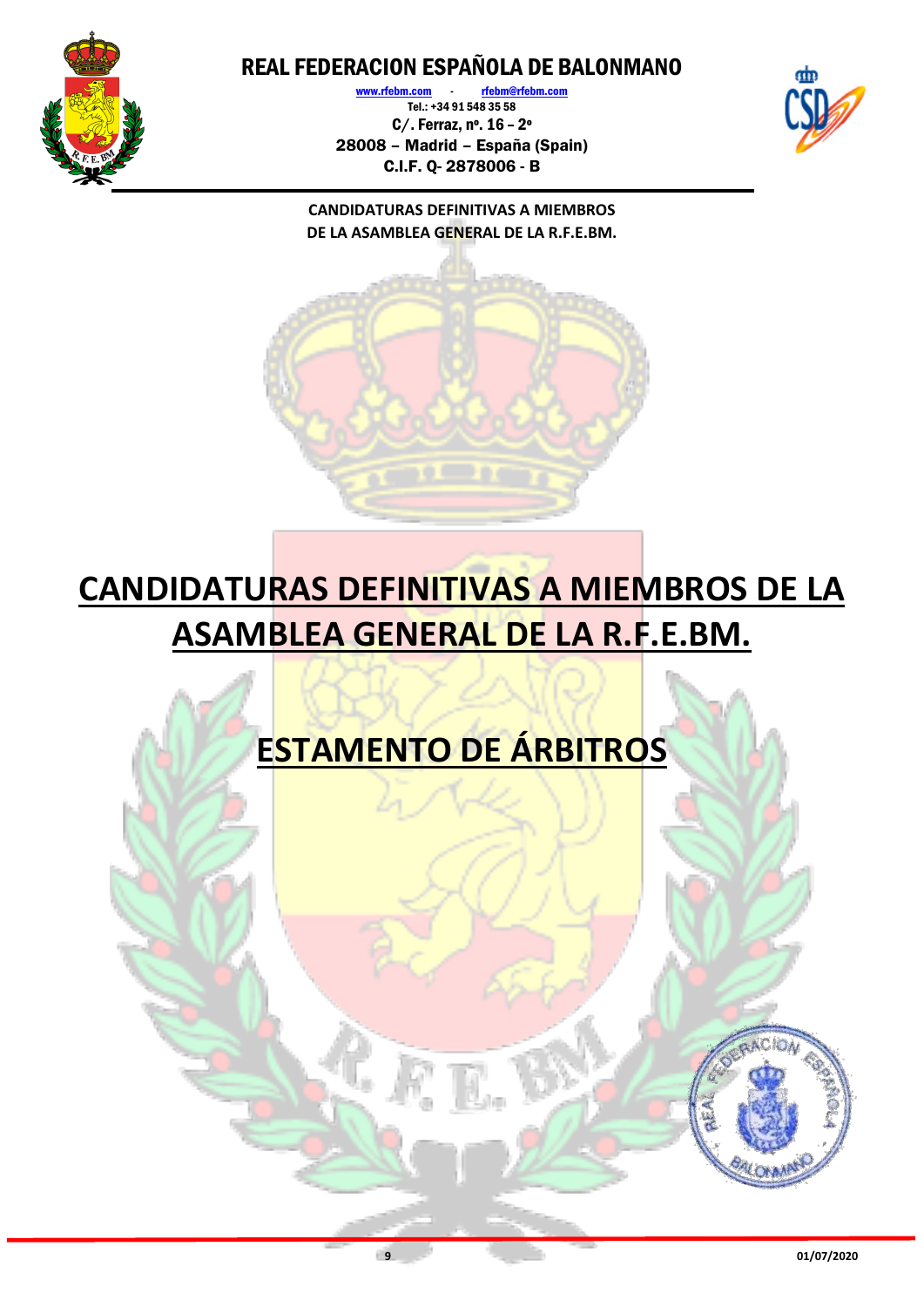

[www.rfebm.com](http://www.rfebm.com/) [rfebm@rfebm.com](mailto:rfebm@rfebm.com) Tel.: +34 91 548 35 58 C/. Ferraz, nº. 16 – 2º 28008 – Madrid – España (Spain) C.I.F. Q- 2878006 - B



**CANDIDATURAS DEFINITIVAS A MIEMBROS DE LA ASAMBLEA GENERAL DE LA R.F.E.BM.**

## **CANDIDATURAS DEFINITIVAS A MIEMBROS DE LA ASAMBLEA GENERAL DE LA R.F.E.BM.**

### **ESTAMENTO DE ÁRBITROS**